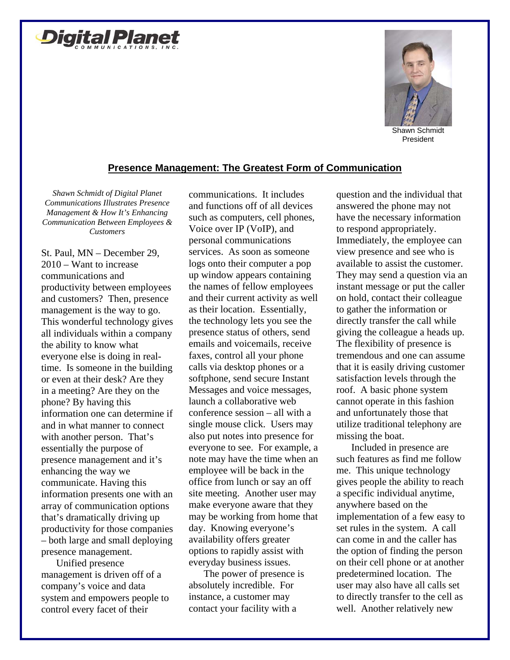



President

## **Presence Management: The Greatest Form of Communication**

*Shawn Schmidt of Digital Planet Communications Illustrates Presence Management & How It's Enhancing Communication Between Employees & Customers* 

St. Paul, MN – December 29, 2010 – Want to increase communications and productivity between employees and customers? Then, presence management is the way to go. This wonderful technology gives all individuals within a company the ability to know what everyone else is doing in realtime. Is someone in the building or even at their desk? Are they in a meeting? Are they on the phone? By having this information one can determine if and in what manner to connect with another person. That's essentially the purpose of presence management and it's enhancing the way we communicate. Having this information presents one with an array of communication options that's dramatically driving up productivity for those companies – both large and small deploying presence management.

Unified presence management is driven off of a company's voice and data system and empowers people to control every facet of their

communications. It includes and functions off of all devices such as computers, cell phones, Voice over IP (VoIP), and personal communications services. As soon as someone logs onto their computer a pop up window appears containing the names of fellow employees and their current activity as well as their location. Essentially, the technology lets you see the presence status of others, send emails and voicemails, receive faxes, control all your phone calls via desktop phones or a softphone, send secure Instant Messages and voice messages, launch a collaborative web conference session – all with a single mouse click. Users may also put notes into presence for everyone to see. For example, a note may have the time when an employee will be back in the office from lunch or say an off site meeting. Another user may make everyone aware that they may be working from home that day. Knowing everyone's availability offers greater options to rapidly assist with everyday business issues.

The power of presence is absolutely incredible. For instance, a customer may contact your facility with a

question and the individual that answered the phone may not have the necessary information to respond appropriately. Immediately, the employee can view presence and see who is available to assist the customer. They may send a question via an instant message or put the caller on hold, contact their colleague to gather the information or directly transfer the call while giving the colleague a heads up. The flexibility of presence is tremendous and one can assume that it is easily driving customer satisfaction levels through the roof. A basic phone system cannot operate in this fashion and unfortunately those that utilize traditional telephony are missing the boat.

Included in presence are such features as find me follow me. This unique technology gives people the ability to reach a specific individual anytime, anywhere based on the implementation of a few easy to set rules in the system. A call can come in and the caller has the option of finding the person on their cell phone or at another predetermined location. The user may also have all calls set to directly transfer to the cell as well. Another relatively new